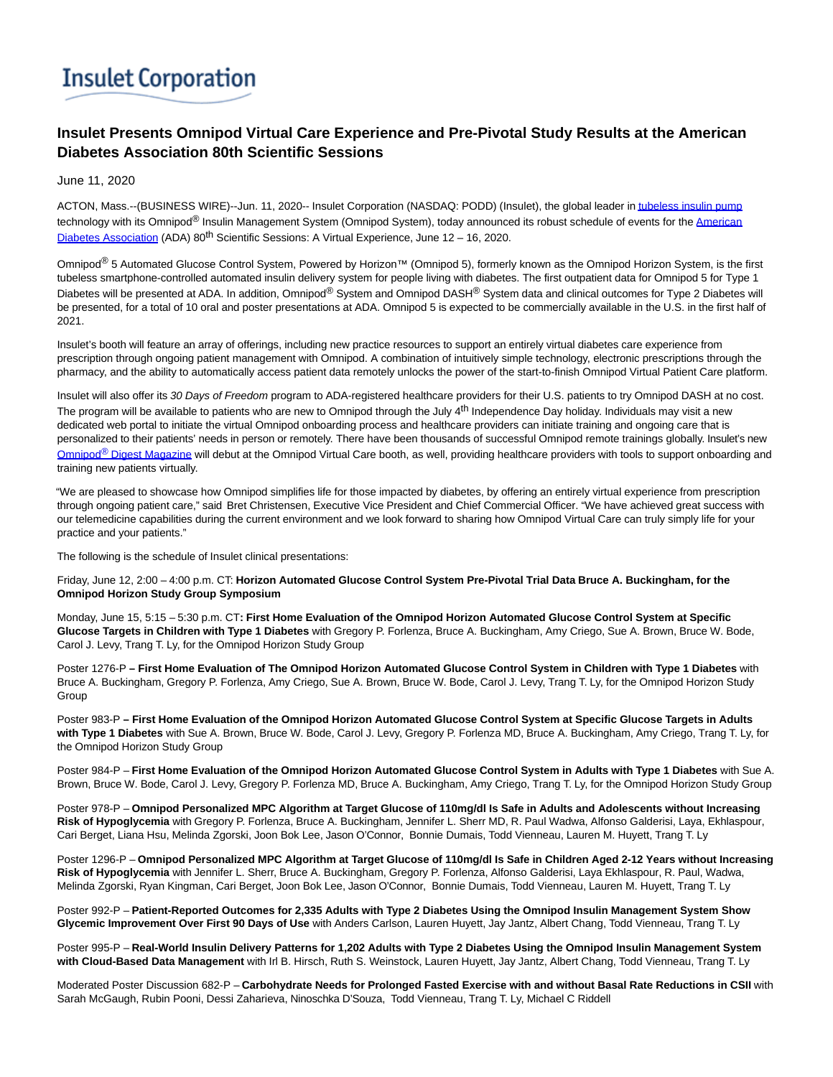## **Insulet Corporation**

## **Insulet Presents Omnipod Virtual Care Experience and Pre-Pivotal Study Results at the American Diabetes Association 80th Scientific Sessions**

June 11, 2020

ACTON, Mass.--(BUSINESS WIRE)--Jun. 11, 2020-- Insulet Corporation (NASDAQ: PODD) (Insulet), the global leader i[n tubeless insulin pump](https://cts.businesswire.com/ct/CT?id=smartlink&url=https%3A%2F%2Fwww.myomnipod.com%2Fhome&esheet=52233391&newsitemid=20200611005178&lan=en-US&anchor=tubeless+insulin+pump&index=1&md5=3603b446708f7f142b0aaa5f4e119aff) technology with its Omnipod<sup>®</sup> Insulin Management System (Omnipod System), today announced its robust schedule of events for the [American](https://cts.businesswire.com/ct/CT?id=smartlink&url=https%3A%2F%2Fprofessional.diabetes.org%2Fscientific-sessions&esheet=52233391&newsitemid=20200611005178&lan=en-US&anchor=American+Diabetes+Association&index=2&md5=de188ba423d1919280f0904a72828bc5) Diabetes Association (ADA)  $80^{th}$  Scientific Sessions: A Virtual Experience, June 12 – 16, 2020.

Omnipod<sup>®</sup> 5 Automated Glucose Control System, Powered by Horizon™ (Omnipod 5), formerly known as the Omnipod Horizon System, is the first tubeless smartphone-controlled automated insulin delivery system for people living with diabetes. The first outpatient data for Omnipod 5 for Type 1 Diabetes will be presented at ADA. In addition, Omnipod® System and Omnipod DASH® System data and clinical outcomes for Type 2 Diabetes will be presented, for a total of 10 oral and poster presentations at ADA. Omnipod 5 is expected to be commercially available in the U.S. in the first half of 2021.

Insulet's booth will feature an array of offerings, including new practice resources to support an entirely virtual diabetes care experience from prescription through ongoing patient management with Omnipod. A combination of intuitively simple technology, electronic prescriptions through the pharmacy, and the ability to automatically access patient data remotely unlocks the power of the start-to-finish Omnipod Virtual Patient Care platform.

Insulet will also offer its 30 Days of Freedom program to ADA-registered healthcare providers for their U.S. patients to try Omnipod DASH at no cost. The program will be available to patients who are new to Omnipod through the July  $4<sup>th</sup>$  Independence Day holiday. Individuals may visit a new dedicated web portal to initiate the virtual Omnipod onboarding process and healthcare providers can initiate training and ongoing care that is personalized to their patients' needs in person or remotely. There have been thousands of successful Omnipod remote trainings globally. Insulet's new Omnipod<sup>®</sup> [Digest Magazine w](https://cts.businesswire.com/ct/CT?id=smartlink&url=https%3A%2F%2Fgateway.on24.com%2Fwcc%2Fexperience%2FeliteInsuletCorporation%2F2262910%2F2346055%2Fcustomized-virtual-training&esheet=52233391&newsitemid=20200611005178&lan=en-US&anchor=Omnipod%26%23174%3B+Digest+Magazine&index=3&md5=a6fe7c59468aefcbcdf8fd9229751bc1)ill debut at the Omnipod Virtual Care booth, as well, providing healthcare providers with tools to support onboarding and training new patients virtually.

"We are pleased to showcase how Omnipod simplifies life for those impacted by diabetes, by offering an entirely virtual experience from prescription through ongoing patient care," said Bret Christensen, Executive Vice President and Chief Commercial Officer. "We have achieved great success with our telemedicine capabilities during the current environment and we look forward to sharing how Omnipod Virtual Care can truly simply life for your practice and your patients."

The following is the schedule of Insulet clinical presentations:

Friday, June 12, 2:00 – 4:00 p.m. CT: **Horizon Automated Glucose Control System Pre-Pivotal Trial Data Bruce A. Buckingham, for the Omnipod Horizon Study Group Symposium**

Monday, June 15, 5:15 – 5:30 p.m. CT**: First Home Evaluation of the Omnipod Horizon Automated Glucose Control System at Specific Glucose Targets in Children with Type 1 Diabetes** with Gregory P. Forlenza, Bruce A. Buckingham, Amy Criego, Sue A. Brown, Bruce W. Bode, Carol J. Levy, Trang T. Ly, for the Omnipod Horizon Study Group

Poster 1276-P **– First Home Evaluation of The Omnipod Horizon Automated Glucose Control System in Children with Type 1 Diabetes** with Bruce A. Buckingham, Gregory P. Forlenza, Amy Criego, Sue A. Brown, Bruce W. Bode, Carol J. Levy, Trang T. Ly, for the Omnipod Horizon Study Group

Poster 983-P **– First Home Evaluation of the Omnipod Horizon Automated Glucose Control System at Specific Glucose Targets in Adults with Type 1 Diabetes** with Sue A. Brown, Bruce W. Bode, Carol J. Levy, Gregory P. Forlenza MD, Bruce A. Buckingham, Amy Criego, Trang T. Ly, for the Omnipod Horizon Study Group

Poster 984-P – **First Home Evaluation of the Omnipod Horizon Automated Glucose Control System in Adults with Type 1 Diabetes** with Sue A. Brown, Bruce W. Bode, Carol J. Levy, Gregory P. Forlenza MD, Bruce A. Buckingham, Amy Criego, Trang T. Ly, for the Omnipod Horizon Study Group

Poster 978-P – **Omnipod Personalized MPC Algorithm at Target Glucose of 110mg/dl Is Safe in Adults and Adolescents without Increasing Risk of Hypoglycemia** with Gregory P. Forlenza, Bruce A. Buckingham, Jennifer L. Sherr MD, R. Paul Wadwa, Alfonso Galderisi, Laya, Ekhlaspour, Cari Berget, Liana Hsu, Melinda Zgorski, Joon Bok Lee, Jason O'Connor, Bonnie Dumais, Todd Vienneau, Lauren M. Huyett, Trang T. Ly

Poster 1296-P – **Omnipod Personalized MPC Algorithm at Target Glucose of 110mg/dl Is Safe in Children Aged 2-12 Years without Increasing Risk of Hypoglycemia** with Jennifer L. Sherr, Bruce A. Buckingham, Gregory P. Forlenza, Alfonso Galderisi, Laya Ekhlaspour, R. Paul, Wadwa, Melinda Zgorski, Ryan Kingman, Cari Berget, Joon Bok Lee, Jason O'Connor, Bonnie Dumais, Todd Vienneau, Lauren M. Huyett, Trang T. Ly

Poster 992-P – **Patient-Reported Outcomes for 2,335 Adults with Type 2 Diabetes Using the Omnipod Insulin Management System Show Glycemic Improvement Over First 90 Days of Use** with Anders Carlson, Lauren Huyett, Jay Jantz, Albert Chang, Todd Vienneau, Trang T. Ly

Poster 995-P – **Real-World Insulin Delivery Patterns for 1,202 Adults with Type 2 Diabetes Using the Omnipod Insulin Management System with Cloud-Based Data Management** with Irl B. Hirsch, Ruth S. Weinstock, Lauren Huyett, Jay Jantz, Albert Chang, Todd Vienneau, Trang T. Ly

Moderated Poster Discussion 682-P – **Carbohydrate Needs for Prolonged Fasted Exercise with and without Basal Rate Reductions in CSII** with Sarah McGaugh, Rubin Pooni, Dessi Zaharieva, Ninoschka D'Souza, Todd Vienneau, Trang T. Ly, Michael C Riddell